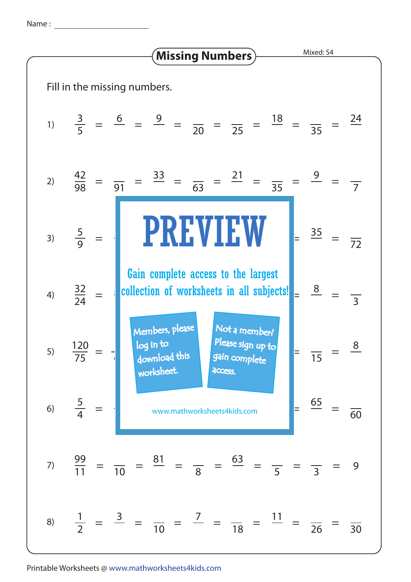